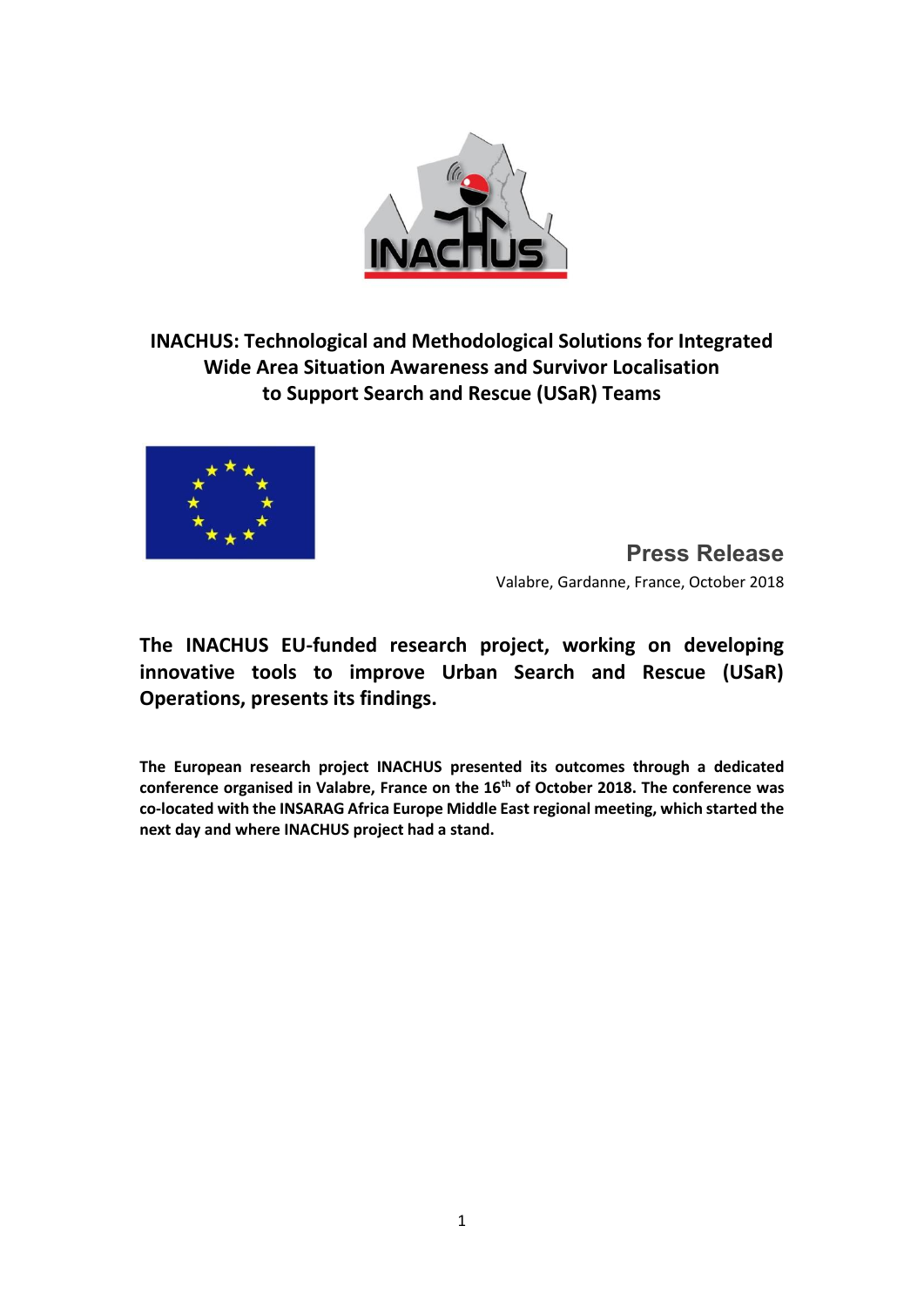

**INACHUS: Technological and Methodological Solutions for Integrated Wide Area Situation Awareness and Survivor Localisation to Support Search and Rescue (USaR) Teams**



**Press Release** Valabre, Gardanne, France, October 2018

**The INACHUS EU-funded research project, working on developing innovative tools to improve Urban Search and Rescue (USaR) Operations, presents its findings.** 

**The European research project INACHUS presented its outcomes through a dedicated conference organised in Valabre, France on the 16th of October 2018. The conference was co-located with the INSARAG Africa Europe Middle East regional meeting, which started the next day and where INACHUS project had a stand.**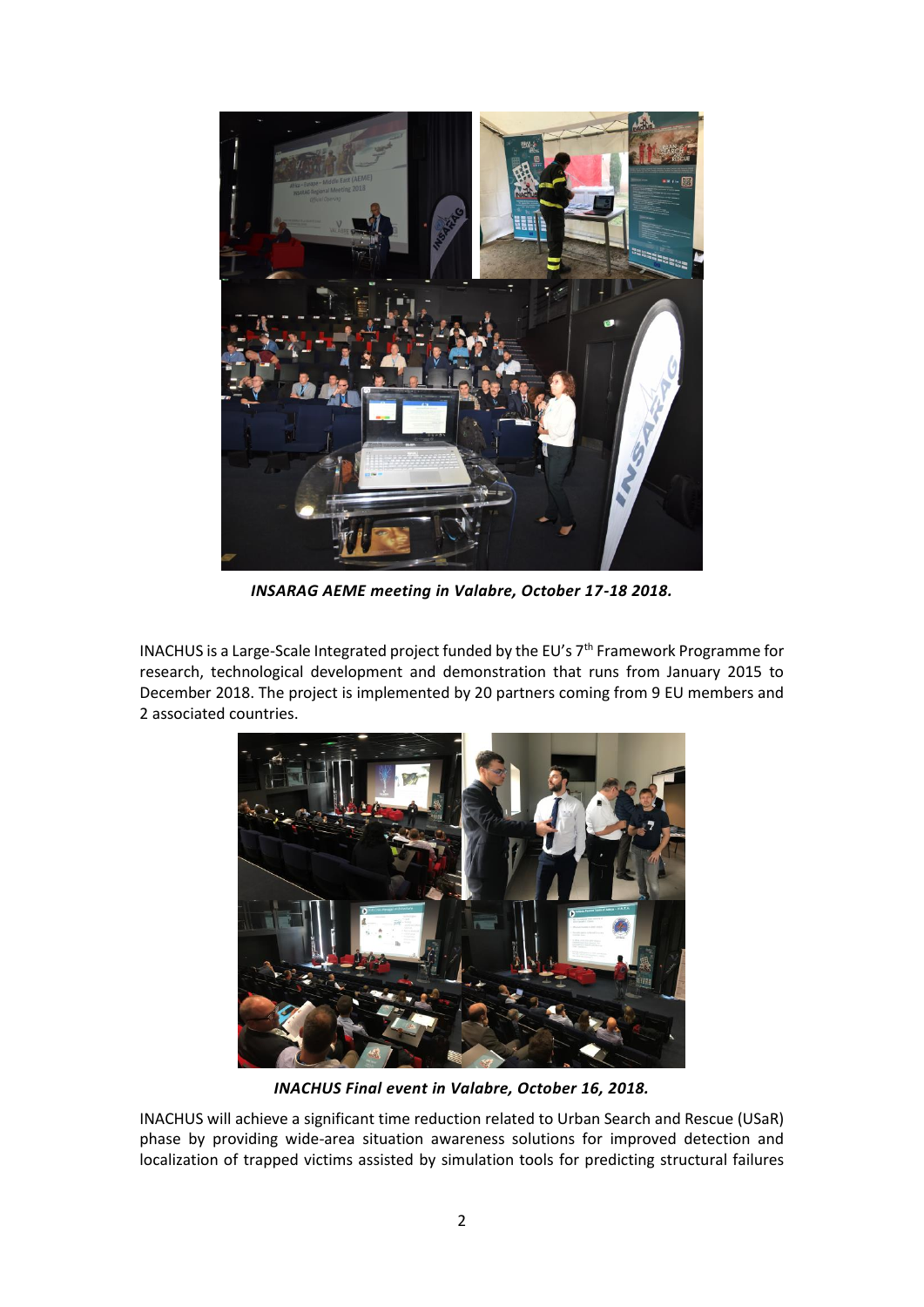

*INSARAG AEME meeting in Valabre, October 17-18 2018.*

INACHUS is a Large-Scale Integrated project funded by the EU's 7<sup>th</sup> Framework Programme for research, technological development and demonstration that runs from January 2015 to December 2018. The project is implemented by 20 partners coming from 9 EU members and 2 associated countries.



*INACHUS Final event in Valabre, October 16, 2018.*

INACHUS will achieve a significant time reduction related to Urban Search and Rescue (USaR) phase by providing wide-area situation awareness solutions for improved detection and localization of trapped victims assisted by simulation tools for predicting structural failures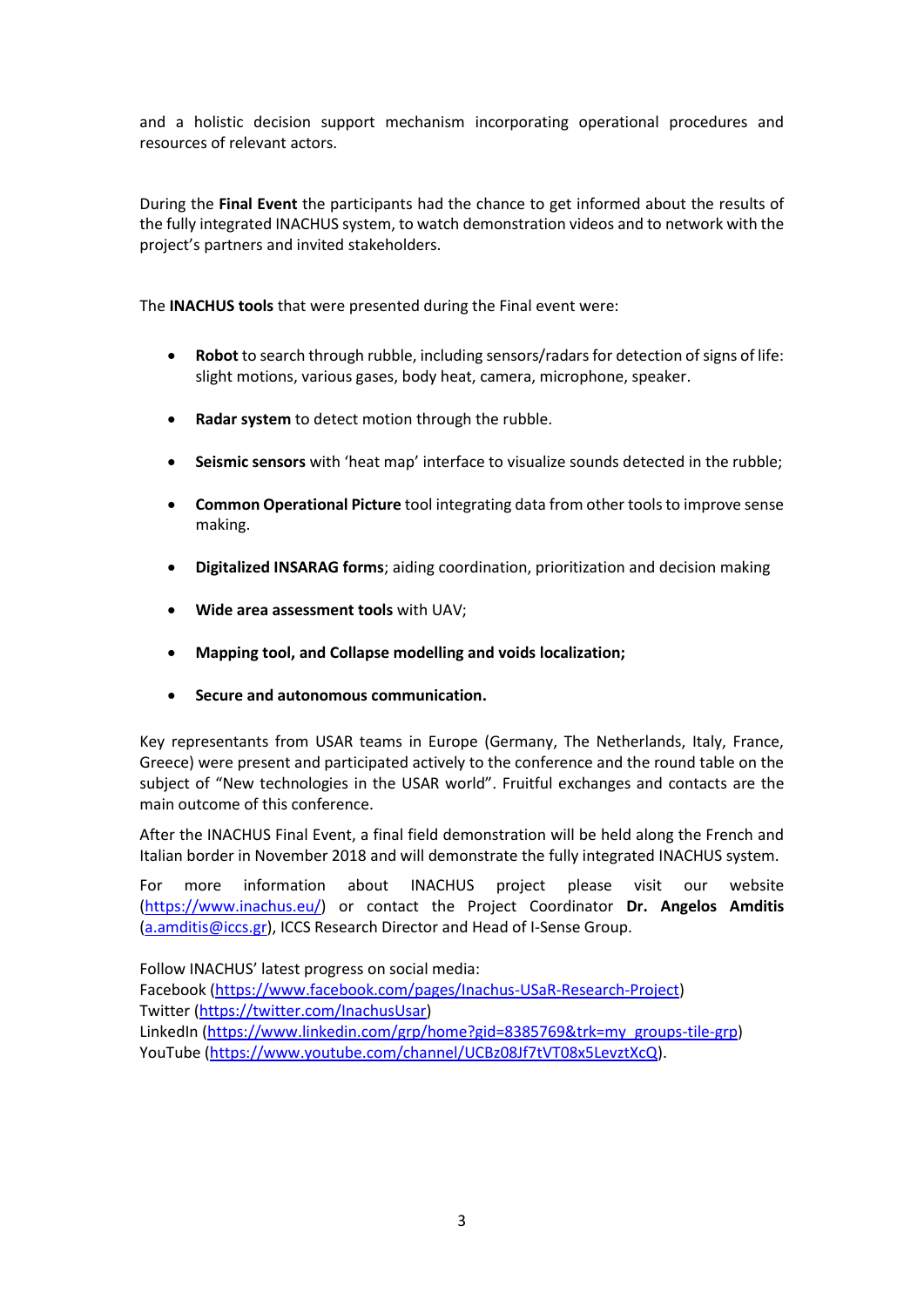and a holistic decision support mechanism incorporating operational procedures and resources of relevant actors.

During the **Final Event** the participants had the chance to get informed about the results of the fully integrated INACHUS system, to watch demonstration videos and to network with the project's partners and invited stakeholders.

The **INACHUS tools** that were presented during the Final event were:

- **Robot** to search through rubble, including sensors/radars for detection of signs of life: slight motions, various gases, body heat, camera, microphone, speaker.
- **Radar system** to detect motion through the rubble.
- **Seismic sensors** with 'heat map' interface to visualize sounds detected in the rubble;
- **Common Operational Picture** tool integrating data from other tools to improve sense making.
- **Digitalized INSARAG forms**; aiding coordination, prioritization and decision making
- **Wide area assessment tools** with UAV;
- **Mapping tool, and Collapse modelling and voids localization;**
- **Secure and autonomous communication.**

Key representants from USAR teams in Europe (Germany, The Netherlands, Italy, France, Greece) were present and participated actively to the conference and the round table on the subject of "New technologies in the USAR world". Fruitful exchanges and contacts are the main outcome of this conference.

After the INACHUS Final Event, a final field demonstration will be held along the French and Italian border in November 2018 and will demonstrate the fully integrated INACHUS system.

For more information about INACHUS project please visit our website [\(https://www.inachus.eu/\)](https://www.inachus.eu/) or contact the Project Coordinator **Dr. Angelos Amditis** [\(a.amditis@iccs.gr\)](mailto:a.amditis@iccs.gr), ICCS Research Director and Head of I-Sense Group.

Follow INACHUS' latest progress on social media:

Facebook [\(https://www.facebook.com/pages/Inachus-USaR-Research-Project\)](https://www.facebook.com/pages/Inachus-USaR-Research-Project/1649612961918245?skip_nax_wizard=true&ref_type=logout_gear&success=1) Twitter [\(https://twitter.com/InachusUsar\)](https://twitter.com/InachusUsar) LinkedIn [\(https://www.linkedin.com/grp/home?gid=8385769&trk=my\\_groups-tile-grp\)](https://www.linkedin.com/grp/home?gid=8385769&trk=my_groups-tile-grp) YouTube [\(https://www.youtube.com/channel/UCBz08Jf7tVT08x5LevztXcQ\)](https://www.youtube.com/channel/UCBz08Jf7tVT08x5LevztXcQ).